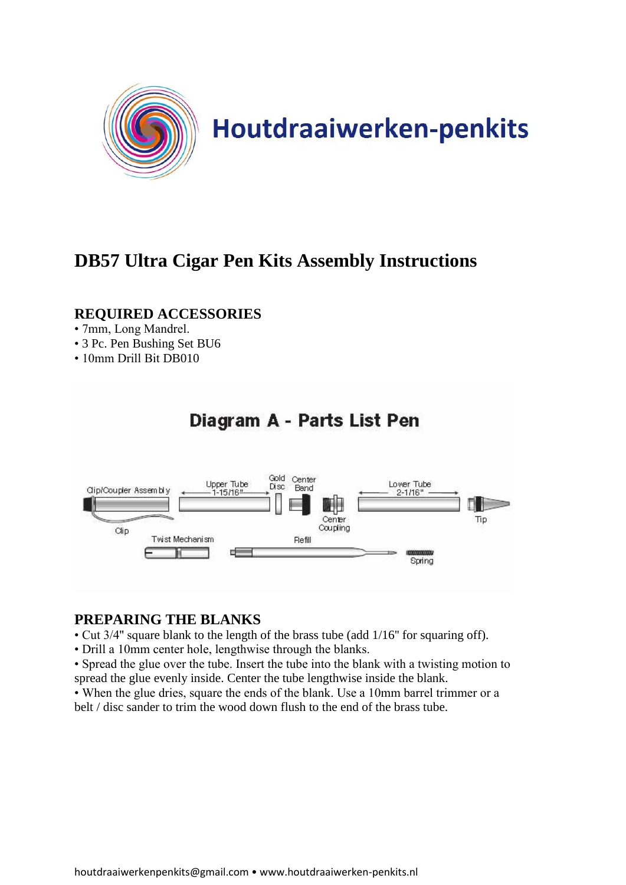

# **DB57 Ultra Cigar Pen Kits Assembly Instructions**

# **REQUIRED ACCESSORIES**

- 7mm, Long Mandrel.
- 3 Pc. Pen Bushing Set BU6
- 10mm Drill Bit DB010



## **PREPARING THE BLANKS**

- Cut 3/4'' square blank to the length of the brass tube (add 1/16'' for squaring off).
- Drill a 10mm center hole, lengthwise through the blanks.
- Spread the glue over the tube. Insert the tube into the blank with a twisting motion to spread the glue evenly inside. Center the tube lengthwise inside the blank.
- When the glue dries, square the ends of the blank. Use a 10mm barrel trimmer or a belt / disc sander to trim the wood down flush to the end of the brass tube.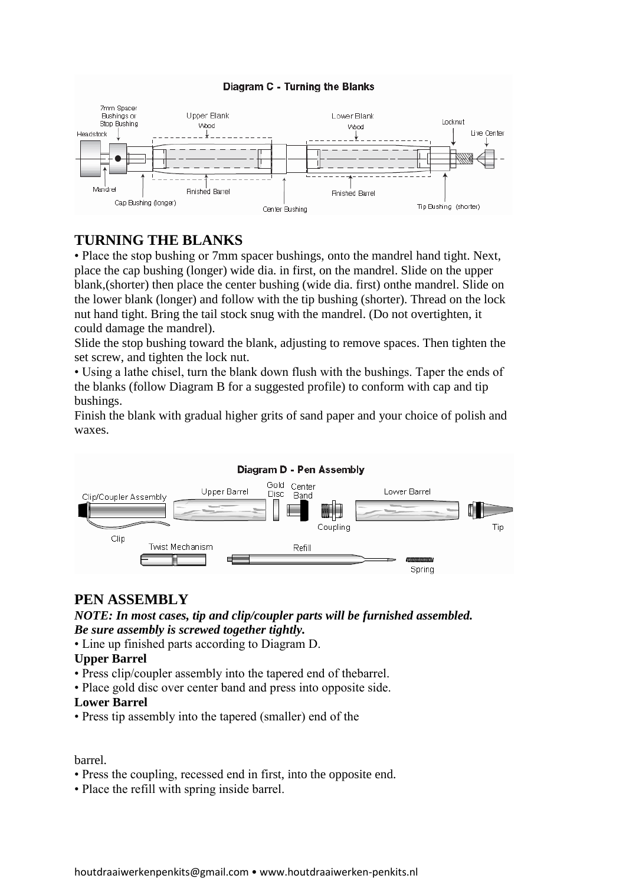### Diagram C - Turning the Blanks



## **TURNING THE BLANKS**

• Place the stop bushing or 7mm spacer bushings, onto the mandrel hand tight. Next, place the cap bushing (longer) wide dia. in first, on the mandrel. Slide on the upper blank,(shorter) then place the center bushing (wide dia. first) onthe mandrel. Slide on the lower blank (longer) and follow with the tip bushing (shorter). Thread on the lock nut hand tight. Bring the tail stock snug with the mandrel. (Do not overtighten, it could damage the mandrel).

Slide the stop bushing toward the blank, adjusting to remove spaces. Then tighten the set screw, and tighten the lock nut.

• Using a lathe chisel, turn the blank down flush with the bushings. Taper the ends of the blanks (follow Diagram B for a suggested profile) to conform with cap and tip bushings.

Finish the blank with gradual higher grits of sand paper and your choice of polish and waxes.



## **PEN ASSEMBLY**

*NOTE: In most cases, tip and clip/coupler parts will be furnished assembled. Be sure assembly is screwed together tightly.*

• Line up finished parts according to Diagram D.

#### **Upper Barrel**

- Press clip/coupler assembly into the tapered end of thebarrel.
- Place gold disc over center band and press into opposite side.

#### **Lower Barrel**

• Press tip assembly into the tapered (smaller) end of the

### barrel.

- Press the coupling, recessed end in first, into the opposite end.
- Place the refill with spring inside barrel.